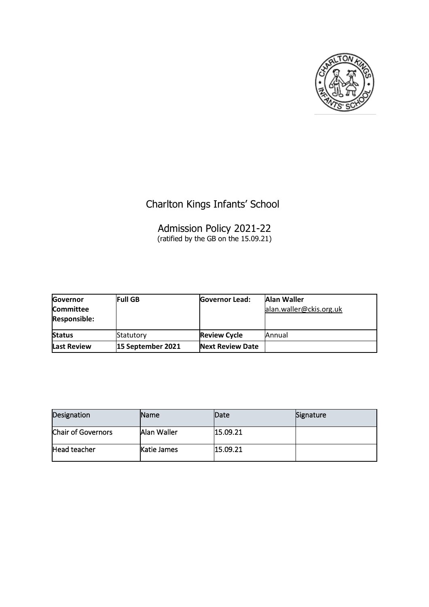

# Charlton Kings Infants' School

### Admission Policy 2021-22 (ratified by the GB on the 15.09.21)

| Governor<br><b>Committee</b><br><b>Responsible:</b> | <b>Full GB</b>    | <b>Governor Lead:</b>   | Alan Waller<br>alan.waller@ckis.org.uk |
|-----------------------------------------------------|-------------------|-------------------------|----------------------------------------|
| <b>Status</b>                                       | Statutory         | <b>Review Cycle</b>     | Annual                                 |
| <b>Last Review</b>                                  | 15 September 2021 | <b>Next Review Date</b> |                                        |

| Designation               | <b>Name</b>        | <b>Date</b> | Signature |
|---------------------------|--------------------|-------------|-----------|
| <b>Chair of Governors</b> | Alan Waller        | 15.09.21    |           |
| Head teacher              | <b>Katie James</b> | 15.09.21    |           |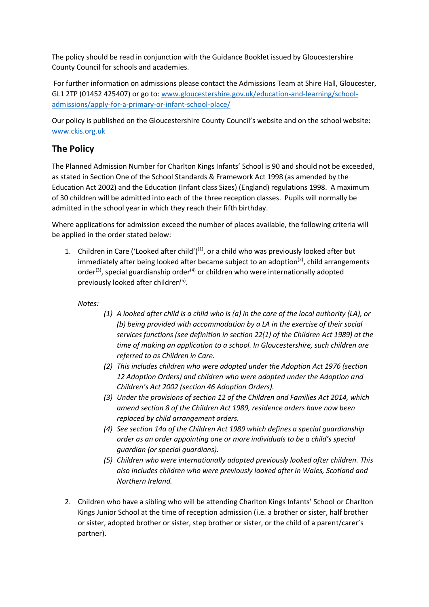The policy should be read in conjunction with the Guidance Booklet issued by Gloucestershire County Council for schools and academies.

For further information on admissions please contact the Admissions Team at Shire Hall, Gloucester, GL1 2TP (01452 425407) or go to: [www.gloucestershire.gov.uk/education-and-learning/school](http://www.gloucestershire.gov.uk/education-and-learning/school-admissions/apply-for-a-primary-or-infant-school-place/)[admissions/apply-for-a-primary-or-infant-school-place/](http://www.gloucestershire.gov.uk/education-and-learning/school-admissions/apply-for-a-primary-or-infant-school-place/)

Our policy is published on the Gloucestershire County Council's website and on the school website: [www.ckis.org.uk](http://www.ckis.org.uk/)

### **The Policy**

The Planned Admission Number for Charlton Kings Infants' School is 90 and should not be exceeded, as stated in Section One of the School Standards & Framework Act 1998 (as amended by the Education Act 2002) and the Education (Infant class Sizes) (England) regulations 1998. A maximum of 30 children will be admitted into each of the three reception classes. Pupils will normally be admitted in the school year in which they reach their fifth birthday.

Where applications for admission exceed the number of places available, the following criteria will be applied in the order stated below:

1. Children in Care ('Looked after child') $(1)$ , or a child who was previously looked after but immediately after being looked after became subject to an adoption<sup>(2)</sup>, child arrangements order<sup>(3)</sup>, special guardianship order<sup>(4)</sup> or children who were internationally adopted previously looked after children<sup>(5)</sup>.

#### *Notes:*

- *(1) A looked after child is a child who is (a) in the care of the local authority (LA), or (b) being provided with accommodation by a LA in the exercise of their social services functions (see definition in section 22(1) of the Children Act 1989) at the time of making an application to a school. In Gloucestershire, such children are referred to as Children in Care.*
- *(2) This includes children who were adopted under the Adoption Act 1976 (section 12 Adoption Orders) and children who were adopted under the Adoption and Children's Act 2002 (section 46 Adoption Orders).*
- *(3) Under the provisions of section 12 of the Children and Families Act 2014, which amend section 8 of the Children Act 1989, residence orders have now been replaced by child arrangement orders.*
- *(4) See section 14a of the Children Act 1989 which defines a special guardianship order as an order appointing one or more individuals to be a child's special guardian (or special guardians).*
- *(5) Children who were internationally adopted previously looked after children. This also includes children who were previously looked after in Wales, Scotland and Northern Ireland.*
- 2. Children who have a sibling who will be attending Charlton Kings Infants' School or Charlton Kings Junior School at the time of reception admission (i.e. a brother or sister, half brother or sister, adopted brother or sister, step brother or sister, or the child of a parent/carer's partner).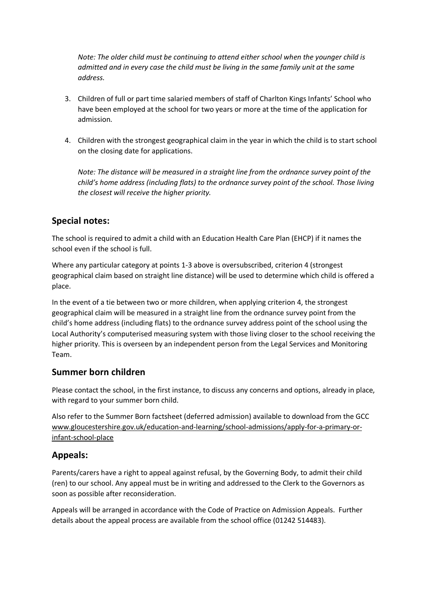*Note: The older child must be continuing to attend either school when the younger child is admitted and in every case the child must be living in the same family unit at the same address.* 

- 3. Children of full or part time salaried members of staff of Charlton Kings Infants' School who have been employed at the school for two years or more at the time of the application for admission.
- 4. Children with the strongest geographical claim in the year in which the child is to start school on the closing date for applications.

*Note: The distance will be measured in a straight line from the ordnance survey point of the child's home address (including flats) to the ordnance survey point of the school. Those living the closest will receive the higher priority.*

### **Special notes:**

The school is required to admit a child with an Education Health Care Plan (EHCP) if it names the school even if the school is full.

Where any particular category at points 1-3 above is oversubscribed, criterion 4 (strongest geographical claim based on straight line distance) will be used to determine which child is offered a place.

In the event of a tie between two or more children, when applying criterion 4, the strongest geographical claim will be measured in a straight line from the ordnance survey point from the child's home address (including flats) to the ordnance survey address point of the school using the Local Authority's computerised measuring system with those living closer to the school receiving the higher priority. This is overseen by an independent person from the Legal Services and Monitoring Team.

### **Summer born children**

Please contact the school, in the first instance, to discuss any concerns and options, already in place, with regard to your summer born child.

Also refer to the Summer Born factsheet (deferred admission) available to download from the GCC www.gloucestershire.gov.uk/education-and-learning/school-admissions/apply-for-a-primary-orinfant-school-place

# **Appeals:**

Parents/carers have a right to appeal against refusal, by the Governing Body, to admit their child (ren) to our school. Any appeal must be in writing and addressed to the Clerk to the Governors as soon as possible after reconsideration.

Appeals will be arranged in accordance with the Code of Practice on Admission Appeals. Further details about the appeal process are available from the school office (01242 514483).